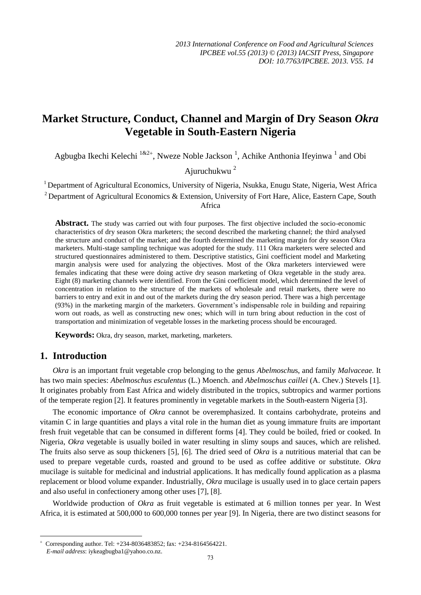# **Market Structure, Conduct, Channel and Margin of Dry Season** *Okra* **Vegetable in South-Eastern Nigeria**

Agbugba Ikechi Kelechi  $1^{k^2+}$ , Nweze Noble Jackson<sup>1</sup>, Achike Anthonia Ifeyinwa<sup>1</sup> and Obi

Ajuruchukwu <sup>2</sup>

<sup>1</sup> Department of Agricultural Economics, University of Nigeria, Nsukka, Enugu State, Nigeria, West Africa <sup>2</sup> Department of Agricultural Economics & Extension, University of Fort Hare, Alice, Eastern Cape, South Africa

**Abstract.** The study was carried out with four purposes. The first objective included the socio-economic characteristics of dry season Okra marketers; the second described the marketing channel; the third analysed the structure and conduct of the market; and the fourth determined the marketing margin for dry season Okra marketers. Multi-stage sampling technique was adopted for the study. 111 Okra marketers were selected and structured questionnaires administered to them. Descriptive statistics, Gini coefficient model and Marketing margin analysis were used for analyzing the objectives. Most of the Okra marketers interviewed were females indicating that these were doing active dry season marketing of Okra vegetable in the study area. Eight (8) marketing channels were identified. From the Gini coefficient model, which determined the level of concentration in relation to the structure of the markets of wholesale and retail markets, there were no barriers to entry and exit in and out of the markets during the dry season period. There was a high percentage (93%) in the marketing margin of the marketers. Government's indispensable role in building and repairing worn out roads, as well as constructing new ones; which will in turn bring about reduction in the cost of transportation and minimization of vegetable losses in the marketing process should be encouraged.

**Keywords:** Okra, dry season, market, marketing, marketers.

# **1. Introduction**

**.** 

*Okra* is an important fruit vegetable crop belonging to the genus *Abelmoschu*s, and family *Malvaceae.* It has two main species: *Abelmoschus esculentus* (L.) Moench. and *Abelmoschus caillei* (A. Chev.) Stevels [1]. It originates probably from East Africa and widely distributed in the tropics, subtropics and warmer portions of the temperate region [2]. It features prominently in vegetable markets in the South-eastern Nigeria [3].

The economic importance of *Okra* cannot be overemphasized. It contains carbohydrate, proteins and vitamin C in large quantities and plays a vital role in the human diet as young immature fruits are important fresh fruit vegetable that can be consumed in different forms [4]. They could be boiled, fried or cooked. In Nigeria, *Okra* vegetable is usually boiled in water resulting in slimy soups and sauces, which are relished. The fruits also serve as soup thickeners [5], [6]. The dried seed of *Okra* is a nutritious material that can be used to prepare vegetable curds, roasted and ground to be used as coffee additive or substitute. *Okra* mucilage is suitable for medicinal and industrial applications. It has medically found application as a plasma replacement or blood volume expander. Industrially, *Okra* mucilage is usually used in to glace certain papers and also useful in confectionery among other uses [7], [8].

Worldwide production of *Okra* as fruit vegetable is estimated at 6 million tonnes per year. In West Africa, it is estimated at 500,000 to 600,000 tonnes per year [9]. In Nigeria, there are two distinct seasons for

 $\overline{+}$  Corresponding author. Tel: +234-8036483852; fax: +234-8164564221. *E-mail address*: iykeagbugba1@yahoo.co.nz.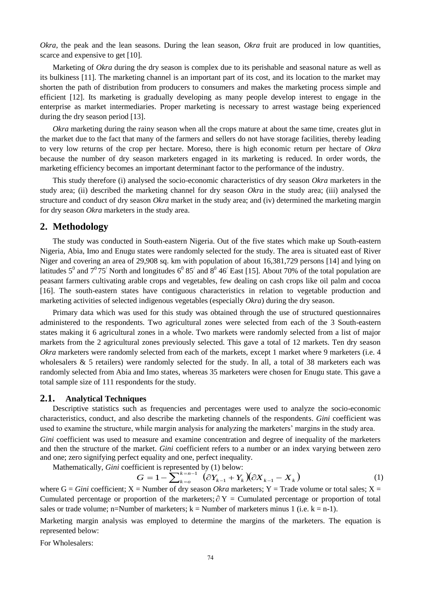*Okra*, the peak and the lean seasons. During the lean season, *Okra* fruit are produced in low quantities, scarce and expensive to get [10].

Marketing of *Okra* during the dry season is complex due to its perishable and seasonal nature as well as its bulkiness [11]. The marketing channel is an important part of its cost, and its location to the market may shorten the path of distribution from producers to consumers and makes the marketing process simple and efficient [12]. Its marketing is gradually developing as many people develop interest to engage in the enterprise as market intermediaries. Proper marketing is necessary to arrest wastage being experienced during the dry season period [13].

*Okra* marketing during the rainy season when all the crops mature at about the same time, creates glut in the market due to the fact that many of the farmers and sellers do not have storage facilities, thereby leading to very low returns of the crop per hectare. Moreso, there is high economic return per hectare of *Okra*  because the number of dry season marketers engaged in its marketing is reduced. In order words, the marketing efficiency becomes an important determinant factor to the performance of the industry.

This study therefore (i) analysed the socio-economic characteristics of dry season *Okra* marketers in the study area; (ii) described the marketing channel for dry season *Okra* in the study area; (iii) analysed the structure and conduct of dry season *Okra* market in the study area; and (iv) determined the marketing margin for dry season *Okra* marketers in the study area.

# **2. Methodology**

The study was conducted in South-eastern Nigeria. Out of the five states which make up South-eastern Nigeria, Abia, Imo and Enugu states were randomly selected for the study. The area is situated east of River Niger and covering an area of 29,908 sq. km with population of about 16,381,729 persons [14] and lying on latitudes  $5^0$  and  $7^0$  75<sup>'</sup> North and longitudes  $6^0$  85<sup>'</sup> and  $8^0$  46<sup>'</sup> East [15]. About 70% of the total population are peasant farmers cultivating arable crops and vegetables, few dealing on cash crops like oil palm and cocoa [16]. The south-eastern states have contiguous characteristics in relation to vegetable production and marketing activities of selected indigenous vegetables (especially *Okra*) during the dry season.

Primary data which was used for this study was obtained through the use of structured questionnaires administered to the respondents. Two agricultural zones were selected from each of the 3 South-eastern states making it 6 agricultural zones in a whole. Two markets were randomly selected from a list of major markets from the 2 agricultural zones previously selected. This gave a total of 12 markets. Ten dry season *Okra* marketers were randomly selected from each of the markets, except 1 market where 9 marketers (i.e. 4 wholesalers  $\&$  5 retailers) were randomly selected for the study. In all, a total of 38 marketers each was randomly selected from Abia and Imo states, whereas 35 marketers were chosen for Enugu state. This gave a total sample size of 111 respondents for the study.

#### **2.1. Analytical Techniques**

Descriptive statistics such as frequencies and percentages were used to analyze the socio-economic characteristics, conduct, and also describe the marketing channels of the respondents. *Gini* coefficient was used to examine the structure, while margin analysis for analyzing the marketers' margins in the study area.

*Gini* coefficient was used to measure and examine concentration and degree of inequality of the marketers and then the structure of the market. *Gini* coefficient refers to a number or an index varying between zero and one; zero signifying perfect equality and one, perfect inequality.

Mathematically, *Gini* coefficient is represented by (1) below:<br> $G = 1 - \sum_{k=0}^{k=n-1} (\partial Y_{k-1} + Y_k)$ 

$$
G = 1 - \sum_{k=0}^{k=n-1} \left( \partial Y_{k-1} + Y_k \right) \left( \partial X_{k-1} - X_k \right) \tag{1}
$$

where  $G = Gini$  coefficient;  $X =$  Number of dry season *Okra* marketers;  $Y =$  Trade volume or total sales;  $X =$ Cumulated percentage or proportion of the marketers;  $\partial Y =$  Cumulated percentage or proportion of total sales or trade volume; n=Number of marketers;  $k =$  Number of marketers minus 1 (i.e.  $k = n-1$ ).

Marketing margin analysis was employed to determine the margins of the marketers. The equation is represented below:

For Wholesalers: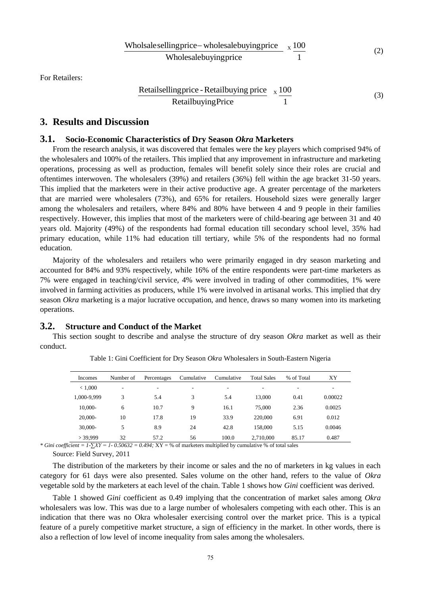Wholsale sellingprice – wholesalebuyingprice 
$$
x \frac{100}{1}
$$

\nWholesalebuyingprice

\n(2)

For Retailers:

Retailselling price - Retailbuying price 
$$
x \frac{100}{1}
$$

\n(3)

# **3. Results and Discussion**

#### **3.1. Socio-Economic Characteristics of Dry Season** *Okra* **Marketers**

From the research analysis, it was discovered that females were the key players which comprised 94% of the wholesalers and 100% of the retailers. This implied that any improvement in infrastructure and marketing operations, processing as well as production, females will benefit solely since their roles are crucial and oftentimes interwoven. The wholesalers (39%) and retailers (36%) fell within the age bracket 31-50 years. This implied that the marketers were in their active productive age. A greater percentage of the marketers that are married were wholesalers (73%), and 65% for retailers. Household sizes were generally larger among the wholesalers and retailers, where 84% and 80% have between 4 and 9 people in their families respectively. However, this implies that most of the marketers were of child-bearing age between 31 and 40 years old. Majority (49%) of the respondents had formal education till secondary school level, 35% had primary education, while 11% had education till tertiary, while 5% of the respondents had no formal education.

Majority of the wholesalers and retailers who were primarily engaged in dry season marketing and accounted for 84% and 93% respectively, while 16% of the entire respondents were part-time marketers as 7% were engaged in teaching/civil service, 4% were involved in trading of other commodities, 1% were involved in farming activities as producers, while 1% were involved in artisanal works. This implied that dry season *Okra* marketing is a major lucrative occupation, and hence, draws so many women into its marketing operations.

#### **3.2. Structure and Conduct of the Market**

This section sought to describe and analyse the structure of dry season *Okra* market as well as their conduct.

| Incomes     | Number of | Percentages | Cumulative               | Cumulative | <b>Total Sales</b> | % of Total               | XY      |
|-------------|-----------|-------------|--------------------------|------------|--------------------|--------------------------|---------|
| < 1,000     | ۰         | ۰           | $\overline{\phantom{a}}$ | ٠          | ۰                  | $\overline{\phantom{a}}$ | ۰       |
| 1,000-9,999 | 3         | 5.4         | 3                        | 5.4        | 13.000             | 0.41                     | 0.00022 |
| 10.000-     | 6         | 10.7        | 9                        | 16.1       | 75,000             | 2.36                     | 0.0025  |
| 20,000-     | 10        | 17.8        | 19                       | 33.9       | 220,000            | 6.91                     | 0.012   |
| 30,000-     | 5         | 8.9         | 24                       | 42.8       | 158,000            | 5.15                     | 0.0046  |
| $>$ 39.999  | 32        | 57.2        | 56                       | 100.0      | 2.710.000          | 85.17                    | 0.487   |

Table 1: Gini Coefficient for Dry Season *Okra* Wholesalers in South-Eastern Nigeria

*\* Gini coefficient = 1-∑XY = 1- 0.50632 = 0.494;* XY = % of marketers multiplied by cumulative % of total sales

Source: Field Survey, 2011

The distribution of the marketers by their income or sales and the no of marketers in kg values in each category for 61 days were also presented. Sales volume on the other hand, refers to the value of *Okra* vegetable sold by the marketers at each level of the chain. Table 1 shows how *Gini* coefficient was derived.

Table 1 showed *Gini* coefficient as 0.49 implying that the concentration of market sales among *Okra* wholesalers was low. This was due to a large number of wholesalers competing with each other. This is an indication that there was no Okra wholesaler exercising control over the market price. This is a typical feature of a purely competitive market structure, a sign of efficiency in the market. In other words, there is also a reflection of low level of income inequality from sales among the wholesalers.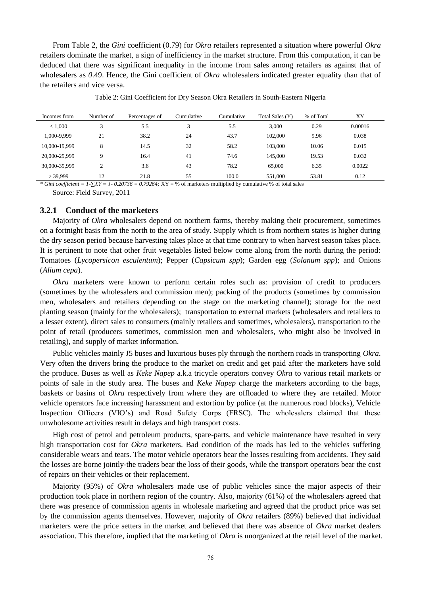From Table 2, the *Gini* coefficient (0.79) for *Okra* retailers represented a situation where powerful *Okra* retailers dominate the market, a sign of inefficiency in the market structure. From this computation, it can be deduced that there was significant inequality in the income from sales among retailers as against that of wholesalers as 0.49. Hence, the Gini coefficient of *Okra* wholesalers indicated greater equality than that of the retailers and vice versa.

| Incomes from  | Number of | Percentages of | Cumulative | Cumulative | Total Sales (Y) | % of Total | XY      |
|---------------|-----------|----------------|------------|------------|-----------------|------------|---------|
| < 1,000       |           | 5.5            | 3          | 5.5        | 3.000           | 0.29       | 0.00016 |
| 1.000-9.999   | 21        | 38.2           | 24         | 43.7       | 102,000         | 9.96       | 0.038   |
| 10.000-19.999 | 8         | 14.5           | 32         | 58.2       | 103,000         | 10.06      | 0.015   |
| 20,000-29,999 | Q         | 16.4           | 41         | 74.6       | 145.000         | 19.53      | 0.032   |
| 30,000-39,999 | ◠         | 3.6            | 43         | 78.2       | 65,000          | 6.35       | 0.0022  |
| > 39,999      | 12        | 21.8           | 55         | 100.0      | 551,000         | 53.81      | 0.12    |

Table 2: Gini Coefficient for Dry Season Okra Retailers in South-Eastern Nigeria

*\* Gini coefficient = 1-∑XY = 1- 0.20736 = 0.79264;* XY = % of marketers multiplied by cumulative % of total sales Source: Field Survey, 2011

#### **3.2.1 Conduct of the marketers**

Majority of *Okra* wholesalers depend on northern farms, thereby making their procurement, sometimes on a fortnight basis from the north to the area of study. Supply which is from northern states is higher during the dry season period because harvesting takes place at that time contrary to when harvest season takes place. It is pertinent to note that other fruit vegetables listed below come along from the north during the period: Tomatoes (*Lycopersicon esculentum*); Pepper (*Capsicum spp*); Garden egg (*Solanum spp*); and Onions (*Alium cepa*).

*Okra* marketers were known to perform certain roles such as: provision of credit to producers (sometimes by the wholesalers and commission men); packing of the products (sometimes by commission men, wholesalers and retailers depending on the stage on the marketing channel); storage for the next planting season (mainly for the wholesalers); transportation to external markets (wholesalers and retailers to a lesser extent), direct sales to consumers (mainly retailers and sometimes, wholesalers), transportation to the point of retail (producers sometimes, commission men and wholesalers, who might also be involved in retailing), and supply of market information.

Public vehicles mainly J5 buses and luxurious buses ply through the northern roads in transporting *Okra*. Very often the drivers bring the produce to the market on credit and get paid after the marketers have sold the produce. Buses as well as *Keke Napep* a.k.a tricycle operators convey *Okra* to various retail markets or points of sale in the study area. The buses and *Keke Napep* charge the marketers according to the bags, baskets or basins of *Okra* respectively from where they are offloaded to where they are retailed. Motor vehicle operators face increasing harassment and extortion by police (at the numerous road blocks), Vehicle Inspection Officers (VIO's) and Road Safety Corps (FRSC). The wholesalers claimed that these unwholesome activities result in delays and high transport costs.

High cost of petrol and petroleum products, spare-parts, and vehicle maintenance have resulted in very high transportation cost for *Okra* marketers. Bad condition of the roads has led to the vehicles suffering considerable wears and tears. The motor vehicle operators bear the losses resulting from accidents. They said the losses are borne jointly-the traders bear the loss of their goods, while the transport operators bear the cost of repairs on their vehicles or their replacement.

Majority (95%) of *Okra* wholesalers made use of public vehicles since the major aspects of their production took place in northern region of the country. Also, majority (61%) of the wholesalers agreed that there was presence of commission agents in wholesale marketing and agreed that the product price was set by the commission agents themselves. However, majority of *Okra* retailers (89%) believed that individual marketers were the price setters in the market and believed that there was absence of *Okra* market dealers association. This therefore, implied that the marketing of *Okra* is unorganized at the retail level of the market.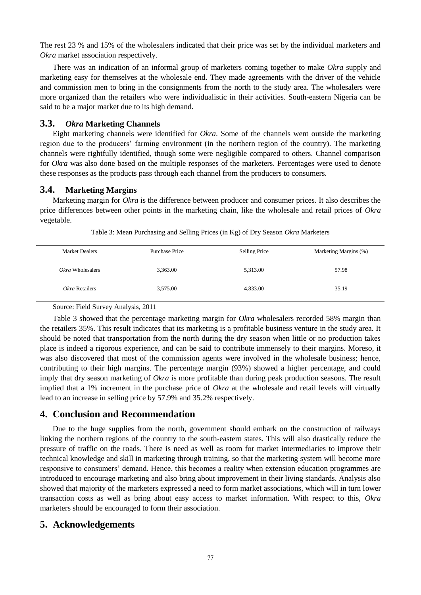The rest 23 % and 15% of the wholesalers indicated that their price was set by the individual marketers and *Okra* market association respectively.

There was an indication of an informal group of marketers coming together to make *Okra* supply and marketing easy for themselves at the wholesale end. They made agreements with the driver of the vehicle and commission men to bring in the consignments from the north to the study area. The wholesalers were more organized than the retailers who were individualistic in their activities. South-eastern Nigeria can be said to be a major market due to its high demand.

#### **3.3.** *Okra* **Marketing Channels**

Eight marketing channels were identified for *Okra*. Some of the channels went outside the marketing region due to the producers' farming environment (in the northern region of the country). The marketing channels were rightfully identified, though some were negligible compared to others. Channel comparison for *Okra* was also done based on the multiple responses of the marketers. Percentages were used to denote these responses as the products pass through each channel from the producers to consumers.

# **3.4. Marketing Margins**

Marketing margin for *Okra* is the difference between producer and consumer prices. It also describes the price differences between other points in the marketing chain, like the wholesale and retail prices of *Okra* vegetable.

| <b>Market Dealers</b> | Purchase Price | Selling Price | Marketing Margins (%) |
|-----------------------|----------------|---------------|-----------------------|
| Okra Wholesalers      | 3,363.00       | 5,313.00      | 57.98                 |
| Okra Retailers        | 3,575.00       | 4,833.00      | 35.19                 |

Table 3: Mean Purchasing and Selling Prices (in Kg) of Dry Season *Okra* Marketers

Source: Field Survey Analysis, 2011

Table 3 showed that the percentage marketing margin for *Okra* wholesalers recorded 58% margin than the retailers 35%. This result indicates that its marketing is a profitable business venture in the study area. It should be noted that transportation from the north during the dry season when little or no production takes place is indeed a rigorous experience, and can be said to contribute immensely to their margins. Moreso, it was also discovered that most of the commission agents were involved in the wholesale business; hence, contributing to their high margins. The percentage margin (93%) showed a higher percentage, and could imply that dry season marketing of *Okra* is more profitable than during peak production seasons. The result implied that a 1% increment in the purchase price of *Okra* at the wholesale and retail levels will virtually lead to an increase in selling price by 57.9% and 35.2% respectively.

# **4. Conclusion and Recommendation**

Due to the huge supplies from the north, government should embark on the construction of railways linking the northern regions of the country to the south-eastern states. This will also drastically reduce the pressure of traffic on the roads. There is need as well as room for market intermediaries to improve their technical knowledge and skill in marketing through training, so that the marketing system will become more responsive to consumers' demand. Hence, this becomes a reality when extension education programmes are introduced to encourage marketing and also bring about improvement in their living standards. Analysis also showed that majority of the marketers expressed a need to form market associations, which will in turn lower transaction costs as well as bring about easy access to market information. With respect to this, *Okra* marketers should be encouraged to form their association.

# **5. Acknowledgements**